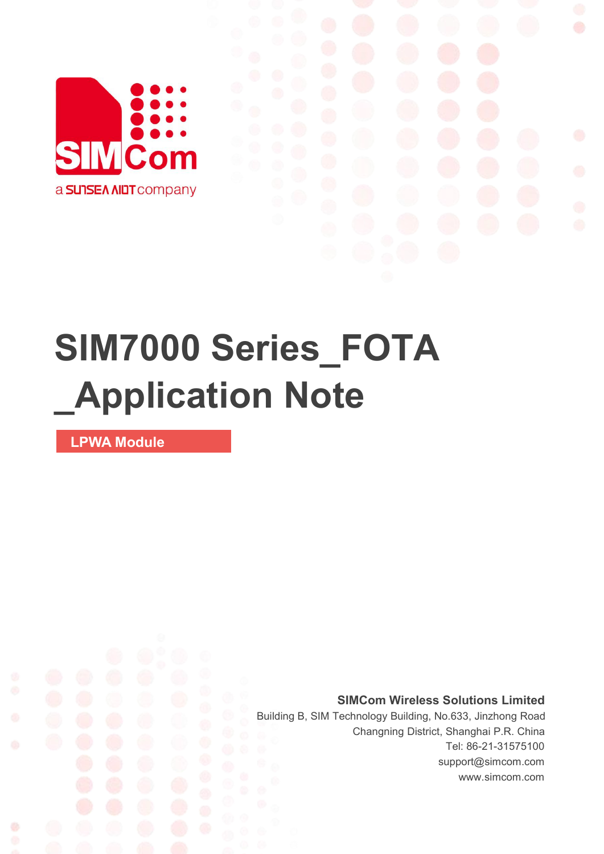

# **SIM7000 Series\_FOTA \_Application Note**

**LPWA Module**

Ø

**SIMCom Wireless Solutions Limited**

Building B, SIM Technology Building, No.633, Jinzhong Road Changning District, Shanghai P.R. China Tel: 86-21-31575100 support@simcom.com www.simcom.com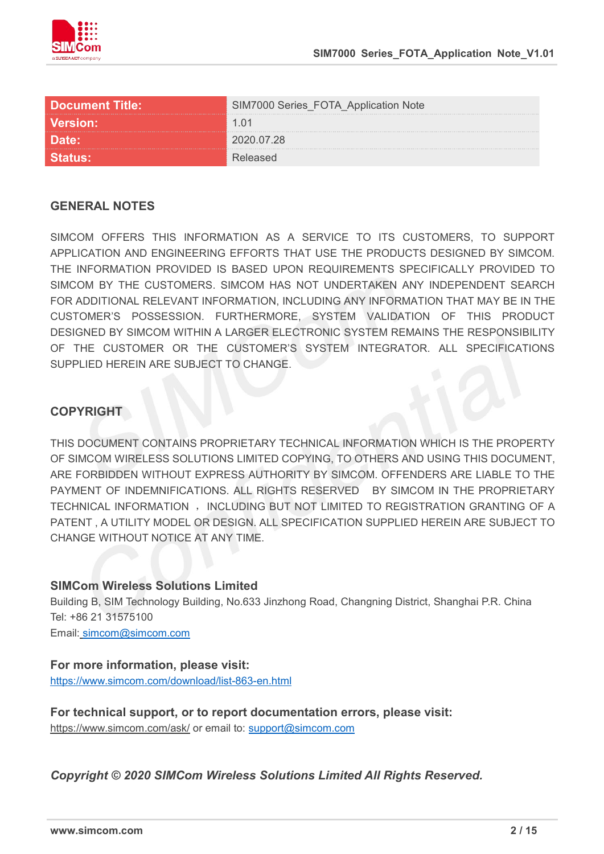

| <b>Document Title:</b> | IM7000 Series_FOTA_Application Note |
|------------------------|-------------------------------------|
| <b>Version:</b>        |                                     |
| <b>Date:</b>           | <sup>ን</sup> በ2በ በ7 28              |
|                        |                                     |

#### **GENERAL NOTES**

SIMCOM OFFERS THIS INFORMATION AS A SERVICE TO ITS CUSTOMERS. TO SUPPORT APPLICATION AND ENGINEERING EFFORTS THAT USE THE PRODUCTS DESIGNED BY SIMCOM. THE INFORMATION PROVIDED IS BASED UPON REQUIREMENTS SPECIFICALLY PROVIDED TO SIMCOM BY THE CUSTOMERS. SIMCOM HAS NOT UNDERTAKEN ANY INDEPENDENT SEARCH FOR ADDITIONAL RELEVANT INFORMATION, INCLUDING ANY INFORMATION THAT MAY BE IN THE CUSTOMER'S POSSESSION. FURTHERMORE, SYSTEM VALIDATION OF THIS PRODUCT DESIGNED BY SIMCOM WITHIN A LARGER ELECTRONIC SYSTEM REMAINS THE RESPONSIBILITY OF THE CUSTOMER OR THE CUSTOMER'S SYSTEM INTEGRATOR. ALL SPECIFICATIONS SUPPLIED HEREIN ARE SUBJECT TO CHANGE.

#### **COPYRIGHT**

THIS DOCUMENT CONTAINS PROPRIETARY TECHNICAL INFORMATION WHICH IS THE PROPERTY OF SIMCOM WIRELESS SOLUTIONS LIMITED COPYING, TO OTHERS AND USING THIS DOCUMENT, ARE FORBIDDEN WITHOUT EXPRESS AUTHORITY BY SIMCOM. OFFENDERS ARE LIABLE TO THE PAYMENT OF INDEMNIFICATIONS. ALL RIGHTS RESERVED BY SIMCOM IN THE PROPRIETARY TECHNICAL INFORMATION , INCLUDING BUT NOT LIMITED TO REGISTRATION GRANTING OF A PATENT , A UTILITY MODEL OR DESIGN. ALL SPECIFICATION SUPPLIED HEREIN ARE SUBJECT TO CHANGE WITHOUT NOTICE AT ANY TIME.

#### **SIMCom Wireless Solutions Limited**

Building B, SIM Technology Building, No.633 Jinzhong Road, Changning District, Shanghai P.R. China Tel: +86 21 31575100

Email: [simcom@simcom.com](mailto:simcom@simcom.com)

#### **For more information, please visit:**

<https://www.simcom.com/download/list-863-en.html>

**For technical support, or to report documentation errors, please visit:** https://www.simcom.com/ask/ or email to: [support@simcom.com](mailto:support@simcom.com)

*Copyright © 2020 SIMCom Wireless Solutions Limited All Rights Reserved.*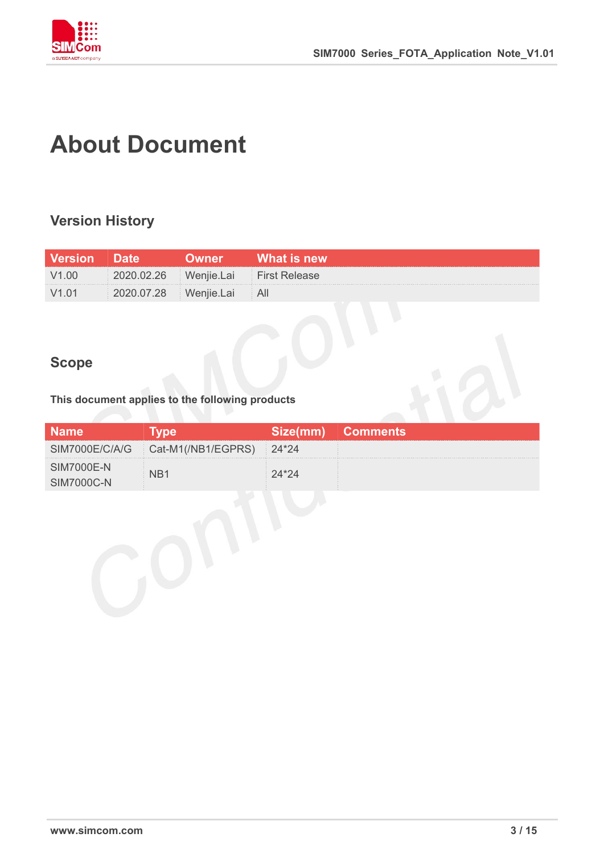

# **About Document**

## **Version History**

| <b>Version</b> Date |                       | <b>lwner</b> | What is new                         |
|---------------------|-----------------------|--------------|-------------------------------------|
| V <sub>1.00</sub>   |                       |              | 2020.02.26 Wenjie.Lai First Release |
| V1.01               | 2020.07.28 Wenjie.Lai |              |                                     |

### **Scope**

**This document applies to the following products**

|                   |                                             | Size(mm) Comments |
|-------------------|---------------------------------------------|-------------------|
|                   | SIM7000E/C/A/G   Cat-M1(/NB1/EGPRS)   24*24 |                   |
| <b>SIM7000E-N</b> |                                             |                   |
|                   |                                             |                   |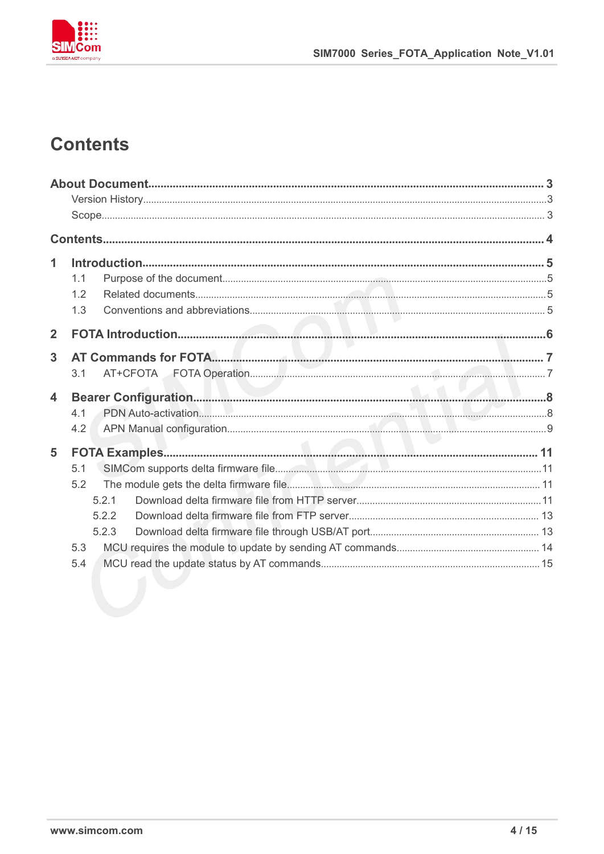

# **Contents**

| 1              |       |  |
|----------------|-------|--|
|                | 1.1   |  |
|                | 1.2   |  |
|                | 1.3   |  |
| $\overline{2}$ |       |  |
| 3              |       |  |
|                | 3.1   |  |
| 4              |       |  |
|                | 4.1   |  |
|                | 4.2   |  |
| 5              |       |  |
|                | 5.1   |  |
|                | 5.2   |  |
|                | 5.2.1 |  |
|                | 5.2.2 |  |
|                | 5.2.3 |  |
|                | 5.3   |  |
|                | 5.4   |  |
|                |       |  |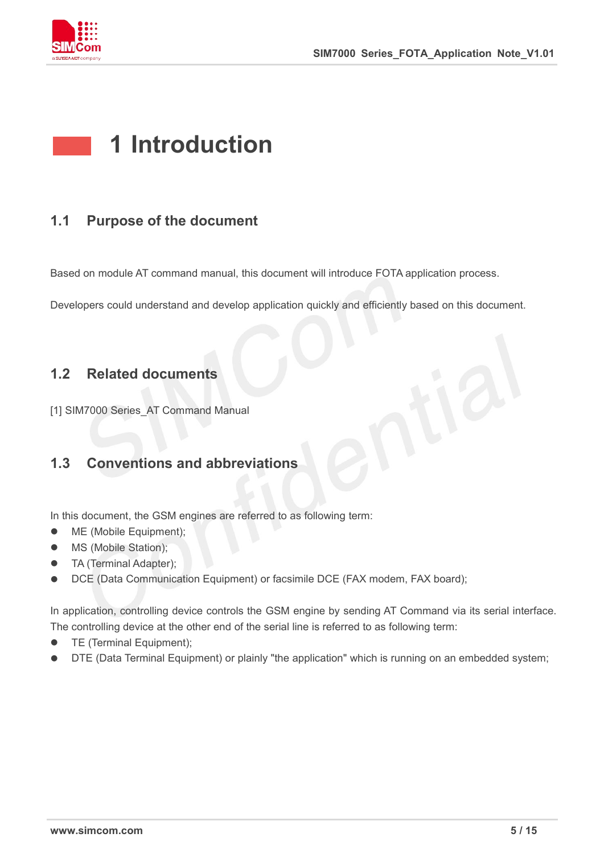

# **1 Introduction**

### **1.1 Purpose of the document**

Based on module AT command manual, this document will introduce FOTA application process.

Developers could understand and develop application quickly and efficiently based on this document.

#### **1.2 Related documents**

[1] SIM7000 Series\_AT Command Manual

### **1.3 Conventions and abbreviations**

In this document, the GSM engines are referred to as following term:

- $\bullet$  ME (Mobile Equipment);
- MS (Mobile Station);
- TA (Terminal Adapter);
- DCE (Data Communication Equipment) or facsimile DCE (FAX modem, FAX board);

In application, controlling device controls the GSM engine by sending AT Command via its serial interface. The controlling device at the other end of the serial line is referred to as following term:

- **•** TE (Terminal Equipment);
- DTE (Data Terminal Equipment) or plainly "the application" which is running on an embedded system;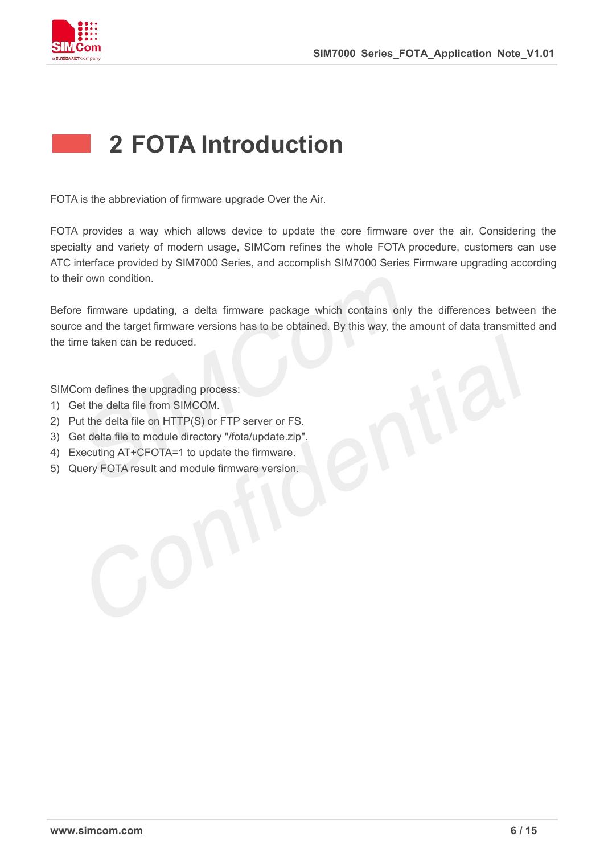

# **2 FOTA Introduction**

FOTA is the abbreviation of firmware upgrade Over the Air.

FOTA provides a way which allows device to update the core firmware over the air. Considering the specialty and variety of modern usage, SIMCom refines the whole FOTA procedure, customers can use ATC interface provided by SIM7000 Series, and accomplish SIM7000 Series Firmware upgrading according to their own condition.

Before firmware updating, a delta firmware package which contains only the differences between the source and the target firmware versions has to be obtained. By this way, the amount of data transmitted and the time taken can be reduced.

SIMCom defines the upgrading process:

- 1) Get the delta file from SIMCOM.
- 2) Put the delta file on HTTP(S) or FTP server or FS.
- 3) Get delta file to module directory "/fota/update.zip".
- 4) Executing AT+CFOTA=1 to update the firmware.
- 5) Query FOTA result and module firmware version.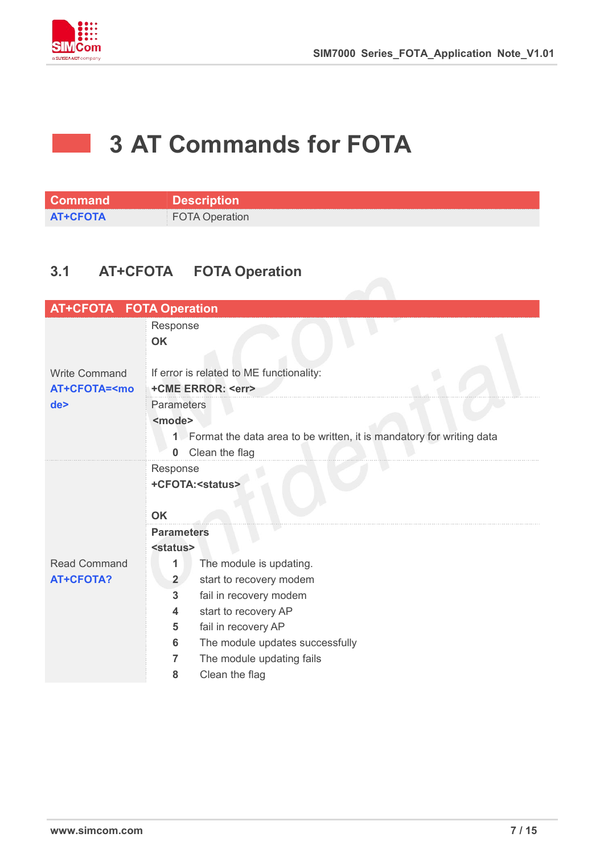

# **3 AT Commands for FOTA**

| <b>Command</b>  | <b>Description</b>    |
|-----------------|-----------------------|
| <b>AT+CFOTA</b> | <b>FOTA Operation</b> |

# **3.1 AT+CFOTA FOTA Operation**

| <b>AT+CFOTA FOTA Operation</b>                                                 |                                                                                                                                                                                                                                                                                                                                                                                                  |
|--------------------------------------------------------------------------------|--------------------------------------------------------------------------------------------------------------------------------------------------------------------------------------------------------------------------------------------------------------------------------------------------------------------------------------------------------------------------------------------------|
|                                                                                | Response<br><b>OK</b>                                                                                                                                                                                                                                                                                                                                                                            |
| <b>Write Command</b><br><b>AT+CFOTA=<mo< b=""><br/>de<sub>&gt;</sub></mo<></b> | If error is related to ME functionality:<br>+CME ERROR: <err><br/>Parameters<br/><mode><br/>1 Format the data area to be written, it is mandatory for writing data<br/>Clean the flag<br/>0</mode></err>                                                                                                                                                                                         |
| <b>Read Command</b><br><b>AT+CFOTA?</b>                                        | Response<br>+CFOTA: <status><br/><b>OK</b><br/><b>Parameters</b><br/><status><br/>The module is updating.<br/>1<br/>start to recovery modem<br/><math>\overline{2}</math><br/>3<br/>fail in recovery modem<br/>start to recovery AP<br/>4<br/>5<br/>fail in recovery AP<br/>6<br/>The module updates successfully<br/>7<br/>The module updating fails<br/>Clean the flag<br/>8</status></status> |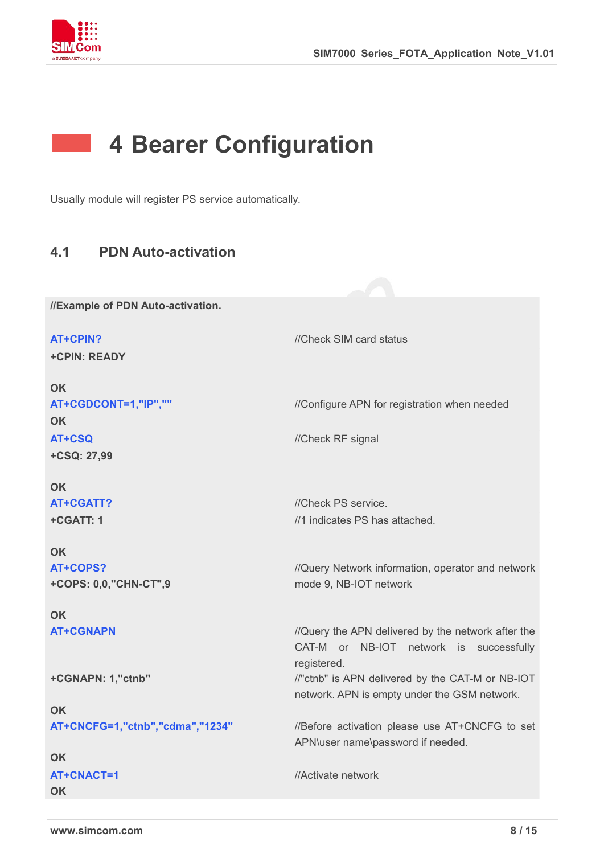

# **4 Bearer Configuration**

Usually module will register PS service automatically.

### **4.1 PDN Auto-activation**

**//Example of PDN Auto-activation.**

| <b>AT+CPIN?</b>                 | //Check SIM card status                            |
|---------------------------------|----------------------------------------------------|
| +CPIN: READY                    |                                                    |
| <b>OK</b>                       |                                                    |
| AT+CGDCONT=1,"IP",""            | //Configure APN for registration when needed       |
| <b>OK</b>                       |                                                    |
| AT+CSQ                          | //Check RF signal                                  |
| +CSQ: 27,99                     |                                                    |
| <b>OK</b>                       |                                                    |
| AT+CGATT?                       | //Check PS service.                                |
| +CGATT: 1                       | //1 indicates PS has attached.                     |
| <b>OK</b>                       |                                                    |
| AT+COPS?                        | //Query Network information, operator and network  |
| +COPS: 0,0,"CHN-CT",9           | mode 9, NB-IOT network                             |
| <b>OK</b>                       |                                                    |
| <b>AT+CGNAPN</b>                | //Query the APN delivered by the network after the |
|                                 | CAT-M or NB-IOT network is successfully            |
|                                 | registered.                                        |
| +CGNAPN: 1,"ctnb"               | //"ctnb" is APN delivered by the CAT-M or NB-IOT   |
|                                 | network. APN is empty under the GSM network.       |
| <b>OK</b>                       |                                                    |
| AT+CNCFG=1,"ctnb","cdma","1234" | //Before activation please use AT+CNCFG to set     |
|                                 | APN\user name\password if needed.                  |
| <b>OK</b>                       |                                                    |
| AT+CNACT=1                      | //Activate network                                 |
| <b>OK</b>                       |                                                    |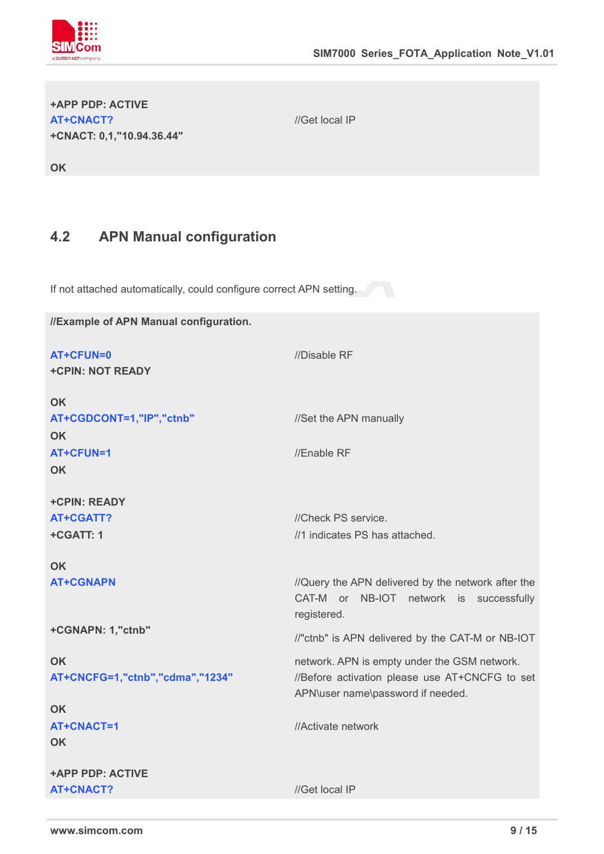

| <b>+APP PDP: ACTIVE</b>   |  |
|---------------------------|--|
| AT+CNACT?                 |  |
| +CNACT: 0,1,"10.94.36.44" |  |

//Get local IP

**OK**

### **4.2 APN Manual configuration**

If not attached automatically, could configure correct APN setting.

**//Example of APN Manual configuration. AT+CFUN=0** //Disable RF **+CPIN: NOT READY OK AT+CGDCONT=1,"IP","ctnb"** //Set the APN manually **OK AT+CFUN=1** //Enable RF **OK +CPIN: READY AT+CGATT?** //Check PS service. **+CGATT: 1 OK** //1 indicates PS has attached. **AT+CGNAPN** *I/Query the APN delivered by the network after the* CAT-M or NB-IOT network is successfully registered. **+CGNAPN: 1,"ctnb" OK** //"ctnb" is APN delivered by the CAT-M or NB-IOT network. APN is empty under the GSM network. **AT+CNCFG=1,"ctnb","cdma","1234"** //Before activation please use AT+CNCFG to set APN\user name\password if needed. **OK AT+CNACT=1 OK +APP PDP: ACTIVE** //Activate network **AT+CNACT?** //Get local IP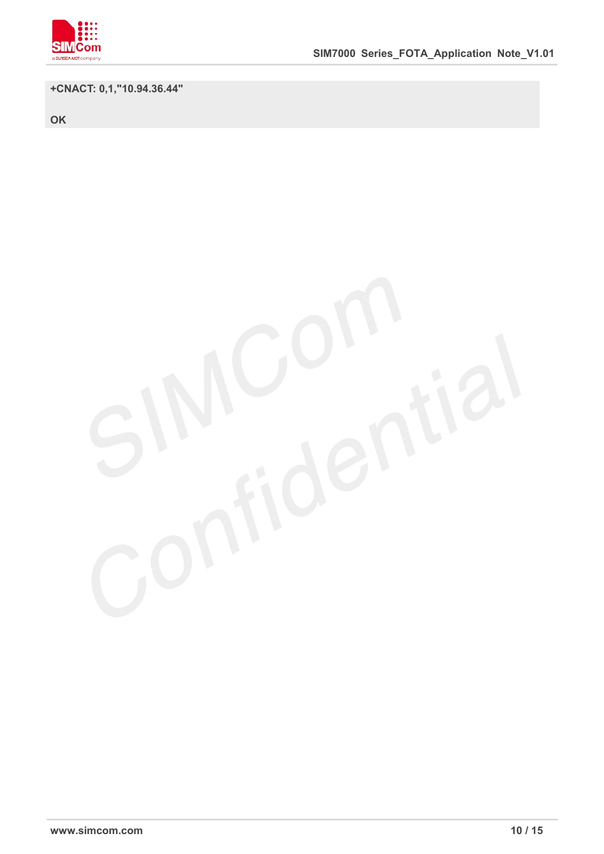

**+CNACT: 0,1,"10.94.36.44"**

**OK**

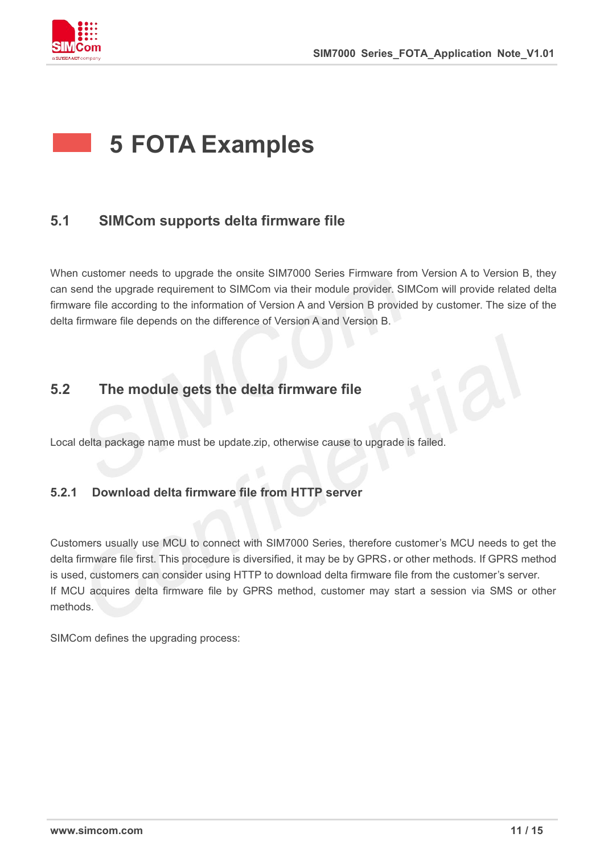

# **5 FOTA Examples**

#### **5.1 SIMCom supports delta firmware file**

When customer needs to upgrade the onsite SIM7000 Series Firmware from Version A to Version B, they can send the upgrade requirement to SIMCom via their module provider. SIMCom will provide related delta firmware file according to the information of Version A and Version B provided by customer. The size of the delta firmware file depends on the difference of Version A and Version B.

#### **5.2 The module gets the delta firmware file**

Local delta package name must be update.zip, otherwise cause to upgrade is failed.

#### **5.2.1 Download delta firmware file from HTTP server**

Customers usually use MCU to connect with SIM7000 Series, therefore customer's MCU needs to get the delta firmware file first. This procedure is diversified, it may be by GPRS, or other methods. If GPRS method is used, customers can consider using HTTP to download delta firmware file from the customer's server. If MCU acquires delta firmware file by GPRS method, customer may start a session via SMS or other methods.

SIMCom defines the upgrading process: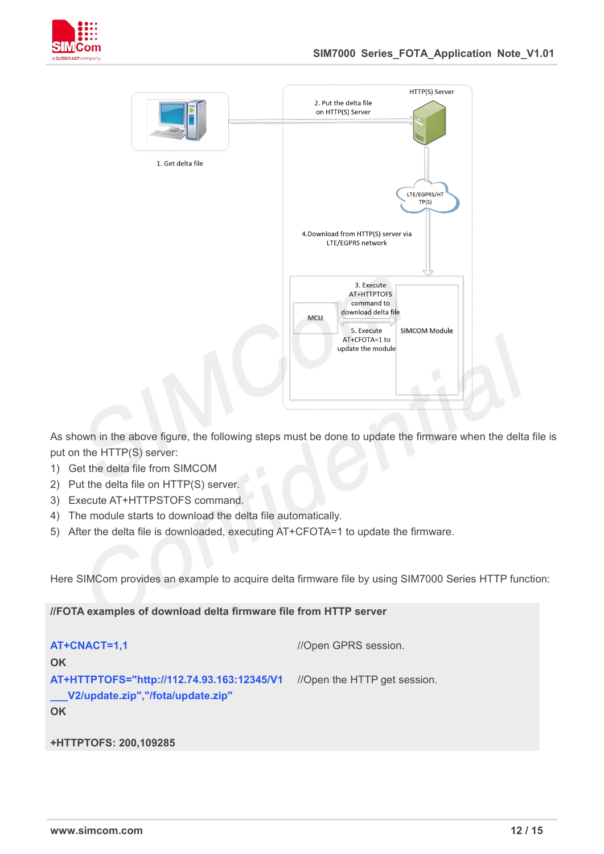



As shown in the above figure, the following steps must be done to update the firmware when the delta file is put on the HTTP(S) server:

- 1) Get the delta file from SIMCOM
- 2) Put the delta file on HTTP(S) server.
- 3) Execute AT+HTTPSTOFS command.
- 4) The module starts to download the delta file automatically.
- 5) After the delta file is downloaded, executing AT+CFOTA=1 to update the firmware.

Here SIMCom provides an example to acquire delta firmware file by using SIM7000 Series HTTP function:

**//FOTA examples of download delta firmware file from HTTP server**

```
AT+CNACT=1,1 //Open GPRS session.
OK
AT+HTTPTOFS="http://112.74.93.163:12345/V1
//Open the HTTP get session. ___V2/update.zip","/fota/update.zip"
OK
+HTTPTOFS: 200,109285
```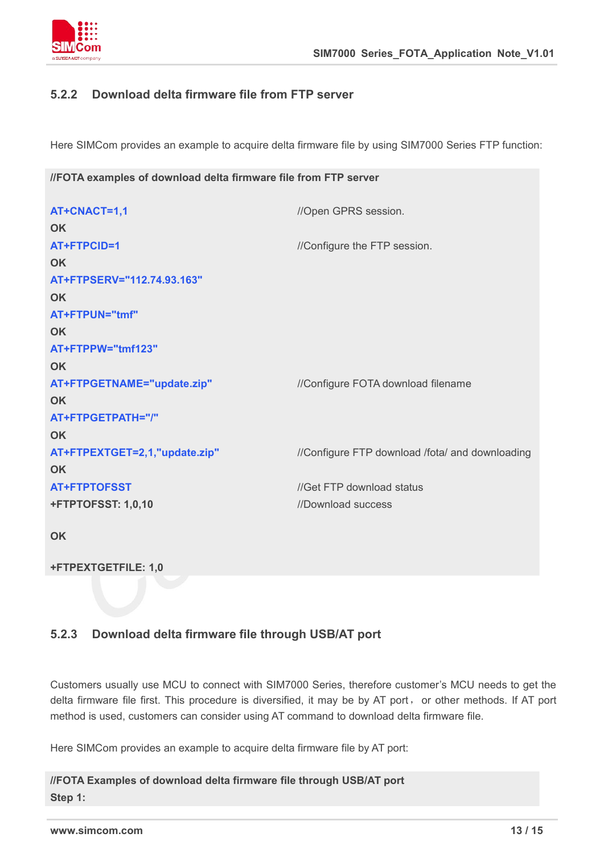

#### **5.2.2 Download delta firmware file from FTP server**

Here SIMCom provides an example to acquire delta firmware file by using SIM7000 Series FTP function:

```
//FOTA examples of download delta firmware file from FTP server
AT+CNACT=1,1 //Open GPRS session.
OK
AT+FTPCID=1 //Configure the FTP session.
OK
AT+FTPSERV="112.74.93.163" OK
AT+FTPUN="tmf" OK
AT+FTPPW="tmf123" OK
AT+FTPGETNAME="update.zip" //Configure FOTA download filename
OK
AT+FTPGETPATH="/" OK
AT+FTPEXTGET=2,1,"update.zip" //Configure FTP download /fota/ and downloading
OK
AT+FTPTOFSST //Get FTP download status
+FTPTOFSST: 1,0,10
OK
                         //Download success
```
**+FTPEXTGETFILE: 1,0**

#### **5.2.3 Download delta firmware file through USB/AT port**

Customers usually use MCU to connect with SIM7000 Series, therefore customer's MCU needs to get the delta firmware file first. This procedure is diversified, it may be by AT port, or other methods. If AT port method is used, customers can consider using AT command to download delta firmware file.

Here SIMCom provides an example to acquire delta firmware file by AT port:

**//FOTA Examples of download delta firmware file through USB/AT port Step 1:**

**www.simcom.com 13 / 15**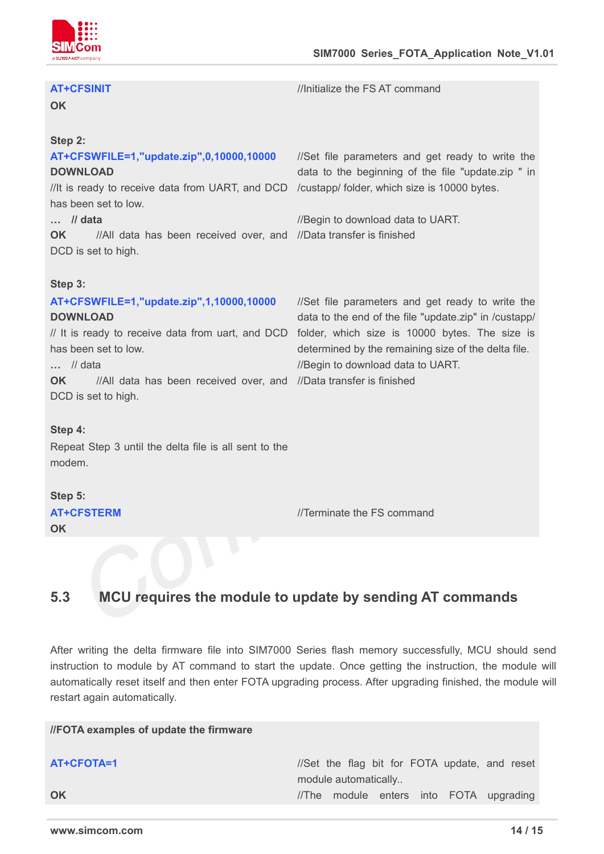

| <b>AT+CFSINIT</b><br><b>OK</b>                                                                                        | //Initialize the FS AT command                                                                                                                                                               |
|-----------------------------------------------------------------------------------------------------------------------|----------------------------------------------------------------------------------------------------------------------------------------------------------------------------------------------|
| Step 2:                                                                                                               | //Set file parameters and get ready to write the                                                                                                                                             |
| AT+CFSWFILE=1,"update.zip",0,10000,10000<br><b>DOWNLOAD</b>                                                           | data to the beginning of the file "update.zip " in                                                                                                                                           |
| //It is ready to receive data from UART, and DCD /custapp/ folder, which size is 10000 bytes.<br>has been set to low. |                                                                                                                                                                                              |
| $\ldots$ // data                                                                                                      | //Begin to download data to UART.                                                                                                                                                            |
| //All data has been received over, and //Data transfer is finished<br><b>OK</b><br>DCD is set to high.                |                                                                                                                                                                                              |
| Step 3:                                                                                                               |                                                                                                                                                                                              |
| AT+CFSWFILE=1,"update.zip",1,10000,10000                                                                              | //Set file parameters and get ready to write the                                                                                                                                             |
| <b>DOWNLOAD</b>                                                                                                       | data to the end of the file "update.zip" in /custapp/                                                                                                                                        |
| has been set to low.<br>$\ldots$ // data                                                                              | // It is ready to receive data from uart, and DCD folder, which size is 10000 bytes. The size is<br>determined by the remaining size of the delta file.<br>//Begin to download data to UART. |
| //All data has been received over, and //Data transfer is finished<br><b>OK</b><br>DCD is set to high.                |                                                                                                                                                                                              |
| Step 4:                                                                                                               |                                                                                                                                                                                              |
| Repeat Step 3 until the delta file is all sent to the<br>modem.                                                       |                                                                                                                                                                                              |
| Step 5:                                                                                                               |                                                                                                                                                                                              |
| <b>AT+CFSTERM</b><br><b>OK</b>                                                                                        | //Terminate the FS command                                                                                                                                                                   |

# **5.3 MCU requires the module to update by sending AT commands**

After writing the delta firmware file into SIM7000 Series flash memory successfully, MCU should send instruction to module by AT command to start the update. Once getting the instruction, the module will automatically reset itself and then enter FOTA upgrading process. After upgrading finished, the module will restart again automatically.

#### **//FOTA examples of update the firmware**

| AT+CFOTA=1 | //Set the flag bit for FOTA update, and reset |  |
|------------|-----------------------------------------------|--|
|            | module automatically                          |  |
| OK         | //The module enters into FOTA upgrading       |  |